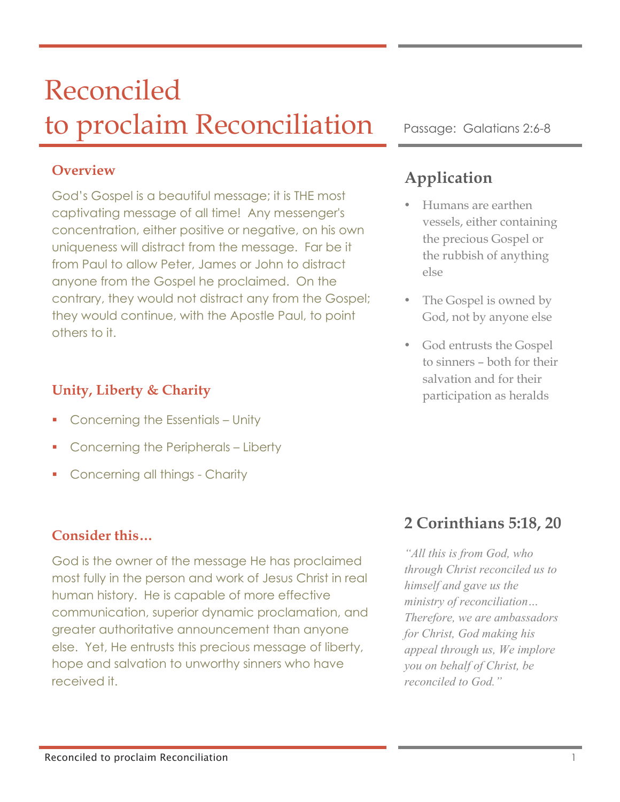# Reconciled to proclaim Reconciliation Passage: Galatians 2:6-8

#### **Overview**

God's Gospel is a beautiful message; it is THE most captivating message of all time! Any messenger's concentration, either positive or negative, on his own uniqueness will distract from the message. Far be it from Paul to allow Peter, James or John to distract anyone from the Gospel he proclaimed. On the contrary, they would not distract any from the Gospel; they would continue, with the Apostle Paul, to point others to it.

## **Unity, Liberty & Charity**

- § Concerning the Essentials Unity
- § Concerning the Peripherals Liberty
- § Concerning all things Charity

## **Consider this…**

God is the owner of the message He has proclaimed most fully in the person and work of Jesus Christ in real human history. He is capable of more effective communication, superior dynamic proclamation, and greater authoritative announcement than anyone else. Yet, He entrusts this precious message of liberty, hope and salvation to unworthy sinners who have received it.

## **Application**

- Humans are earthen vessels, either containing the precious Gospel or the rubbish of anything else
- The Gospel is owned by God, not by anyone else
- God entrusts the Gospel to sinners – both for their salvation and for their participation as heralds

## **2 Corinthians 5:18, 20**

*"All this is from God, who through Christ reconciled us to himself and gave us the ministry of reconciliation… Therefore, we are ambassadors for Christ, God making his appeal through us, We implore you on behalf of Christ, be reconciled to God."*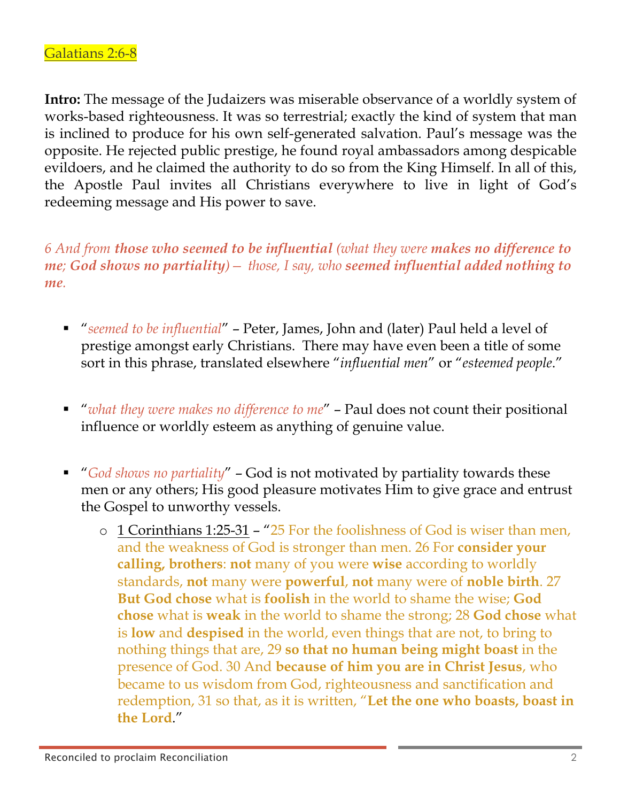**Intro:** The message of the Judaizers was miserable observance of a worldly system of works-based righteousness. It was so terrestrial; exactly the kind of system that man is inclined to produce for his own self-generated salvation. Paul's message was the opposite. He rejected public prestige, he found royal ambassadors among despicable evildoers, and he claimed the authority to do so from the King Himself. In all of this, the Apostle Paul invites all Christians everywhere to live in light of God's redeeming message and His power to save.

*6 And from those who seemed to be influential (what they were makes no difference to me; God shows no partiality)— those, I say, who seemed influential added nothing to me.* 

- § "*seemed to be influential*" Peter, James, John and (later) Paul held a level of prestige amongst early Christians. There may have even been a title of some sort in this phrase, translated elsewhere "*influential men*" or "*esteemed people*."
- *"what they were makes no difference to me"* Paul does not count their positional influence or worldly esteem as anything of genuine value.
- *"God shows no partiality"* God is not motivated by partiality towards these men or any others; His good pleasure motivates Him to give grace and entrust the Gospel to unworthy vessels.
	- o 1 Corinthians 1:25-31 "25 For the foolishness of God is wiser than men, and the weakness of God is stronger than men. 26 For **consider your calling, brothers**: **not** many of you were **wise** according to worldly standards, **not** many were **powerful**, **not** many were of **noble birth**. 27 **But God chose** what is **foolish** in the world to shame the wise; **God chose** what is **weak** in the world to shame the strong; 28 **God chose** what is **low** and **despised** in the world, even things that are not, to bring to nothing things that are, 29 **so that no human being might boast** in the presence of God. 30 And **because of him you are in Christ Jesus**, who became to us wisdom from God, righteousness and sanctification and redemption, 31 so that, as it is written, "**Let the one who boasts, boast in the Lord**."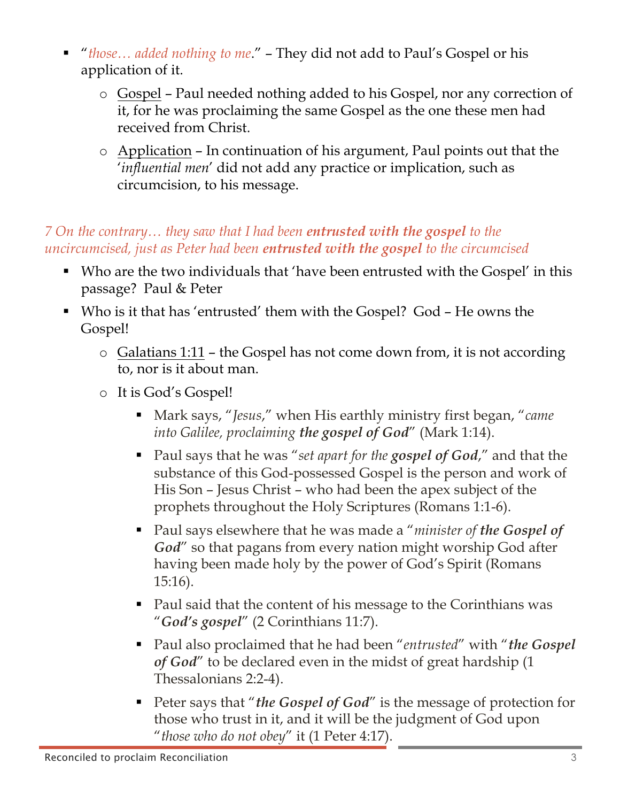- § "*those… added nothing to me*." They did not add to Paul's Gospel or his application of it.
	- o Gospel Paul needed nothing added to his Gospel, nor any correction of it, for he was proclaiming the same Gospel as the one these men had received from Christ.
	- o Application In continuation of his argument, Paul points out that the '*influential men*' did not add any practice or implication, such as circumcision, to his message.

## *7 On the contrary… they saw that I had been entrusted with the gospel to the uncircumcised, just as Peter had been entrusted with the gospel to the circumcised*

- Who are the two individuals that 'have been entrusted with the Gospel' in this passage? Paul & Peter
- Who is it that has 'entrusted' them with the Gospel? God He owns the Gospel!
	- $\circ$  Galatians 1:11 the Gospel has not come down from, it is not according to, nor is it about man.
	- o It is God's Gospel!
		- Mark says, "*Jesus*," when His earthly ministry first began, "*came into Galilee, proclaiming the gospel of God*" (Mark 1:14).
		- Paul says that he was "*set apart for the gospel of God*," and that the substance of this God-possessed Gospel is the person and work of His Son – Jesus Christ – who had been the apex subject of the prophets throughout the Holy Scriptures (Romans 1:1-6).
		- Paul says elsewhere that he was made a "*minister of the Gospel of God*" so that pagans from every nation might worship God after having been made holy by the power of God's Spirit (Romans 15:16).
		- Paul said that the content of his message to the Corinthians was "*God's gospel*" (2 Corinthians 11:7).
		- § Paul also proclaimed that he had been "*entrusted*" with "*the Gospel of God*" to be declared even in the midst of great hardship (1 Thessalonians 2:2-4).
		- Peter says that "*the Gospel of God*" is the message of protection for those who trust in it, and it will be the judgment of God upon "*those who do not obey*" it (1 Peter 4:17).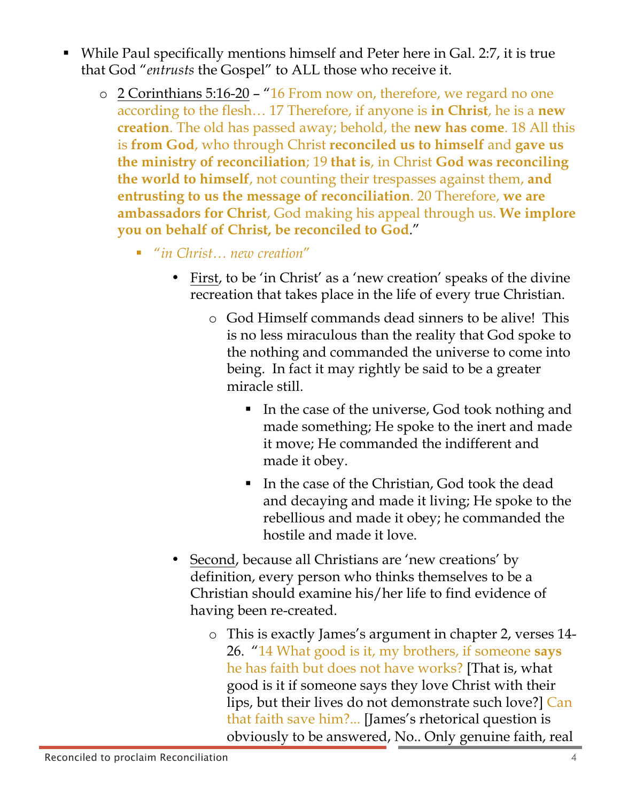- While Paul specifically mentions himself and Peter here in Gal. 2:7, it is true that God "*entrusts* the Gospel" to ALL those who receive it.
	- o 2 Corinthians 5:16-20 "16 From now on, therefore, we regard no one according to the flesh… 17 Therefore, if anyone is **in Christ**, he is a **new creation**. The old has passed away; behold, the **new has come**. 18 All this is **from God**, who through Christ **reconciled us to himself** and **gave us the ministry of reconciliation**; 19 **that is**, in Christ **God was reconciling the world to himself**, not counting their trespasses against them, **and entrusting to us the message of reconciliation**. 20 Therefore, **we are ambassadors for Christ**, God making his appeal through us. **We implore you on behalf of Christ, be reconciled to God**."
		- *"in Christ... new creation"* 
			- First, to be 'in Christ' as a 'new creation' speaks of the divine recreation that takes place in the life of every true Christian.
				- o God Himself commands dead sinners to be alive! This is no less miraculous than the reality that God spoke to the nothing and commanded the universe to come into being. In fact it may rightly be said to be a greater miracle still.
					- In the case of the universe, God took nothing and made something; He spoke to the inert and made it move; He commanded the indifferent and made it obey.
					- § In the case of the Christian, God took the dead and decaying and made it living; He spoke to the rebellious and made it obey; he commanded the hostile and made it love.
			- Second, because all Christians are 'new creations' by definition, every person who thinks themselves to be a Christian should examine his/her life to find evidence of having been re-created.
				- o This is exactly James's argument in chapter 2, verses 14- 26. "14 What good is it, my brothers, if someone **says** he has faith but does not have works? [That is, what good is it if someone says they love Christ with their lips, but their lives do not demonstrate such love?] Can that faith save him?... [James's rhetorical question is obviously to be answered, No.. Only genuine faith, real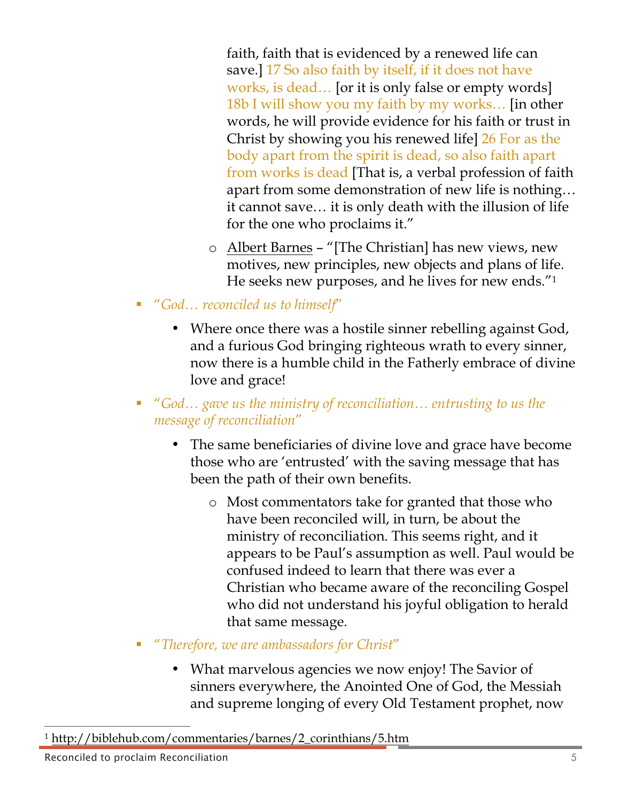faith, faith that is evidenced by a renewed life can save.] 17 So also faith by itself, if it does not have works, is dead… [or it is only false or empty words] 18b I will show you my faith by my works… [in other words, he will provide evidence for his faith or trust in Christ by showing you his renewed life] 26 For as the body apart from the spirit is dead, so also faith apart from works is dead [That is, a verbal profession of faith apart from some demonstration of new life is nothing… it cannot save… it is only death with the illusion of life for the one who proclaims it."

- o Albert Barnes "[The Christian] has new views, new motives, new principles, new objects and plans of life. He seeks new purposes, and he lives for new ends."1
- *"God... reconciled us to himself"* 
	- Where once there was a hostile sinner rebelling against God, and a furious God bringing righteous wrath to every sinner, now there is a humble child in the Fatherly embrace of divine love and grace!
- § "*God… gave us the ministry of reconciliation… entrusting to us the message of reconciliation*"
	- The same beneficiaries of divine love and grace have become those who are 'entrusted' with the saving message that has been the path of their own benefits.
		- o Most commentators take for granted that those who have been reconciled will, in turn, be about the ministry of reconciliation. This seems right, and it appears to be Paul's assumption as well. Paul would be confused indeed to learn that there was ever a Christian who became aware of the reconciling Gospel who did not understand his joyful obligation to herald that same message.
- § "*Therefore, we are ambassadors for Christ*"
	- What marvelous agencies we now enjoy! The Savior of sinners everywhere, the Anointed One of God, the Messiah and supreme longing of every Old Testament prophet, now

 $\overline{a}$ <sup>1</sup> http://biblehub.com/commentaries/barnes/2\_corinthians/5.htm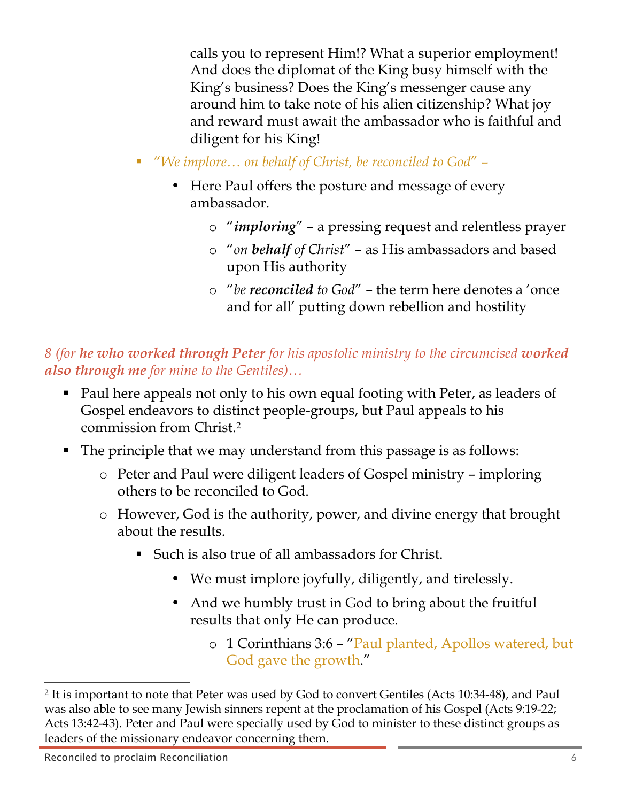calls you to represent Him!? What a superior employment! And does the diplomat of the King busy himself with the King's business? Does the King's messenger cause any around him to take note of his alien citizenship? What joy and reward must await the ambassador who is faithful and diligent for his King!

- *"We implore*... on behalf of Christ, be reconciled to God"
	- Here Paul offers the posture and message of every ambassador.
		- o "*imploring*" a pressing request and relentless prayer
		- o "*on behalf of Christ*" as His ambassadors and based upon His authority
		- o "*be reconciled to God*" the term here denotes a 'once and for all' putting down rebellion and hostility

*8 (for he who worked through Peter for his apostolic ministry to the circumcised worked also through me for mine to the Gentiles)…*

- Paul here appeals not only to his own equal footing with Peter, as leaders of Gospel endeavors to distinct people-groups, but Paul appeals to his commission from Christ.2
- The principle that we may understand from this passage is as follows:
	- o Peter and Paul were diligent leaders of Gospel ministry imploring others to be reconciled to God.
	- o However, God is the authority, power, and divine energy that brought about the results.
		- Such is also true of all ambassadors for Christ.
			- We must implore joyfully, diligently, and tirelessly.
			- And we humbly trust in God to bring about the fruitful results that only He can produce.
				- o 1 Corinthians 3:6 "Paul planted, Apollos watered, but God gave the growth."

 $\overline{a}$ 

<sup>2</sup> It is important to note that Peter was used by God to convert Gentiles (Acts 10:34-48), and Paul was also able to see many Jewish sinners repent at the proclamation of his Gospel (Acts 9:19-22; Acts 13:42-43). Peter and Paul were specially used by God to minister to these distinct groups as leaders of the missionary endeavor concerning them.